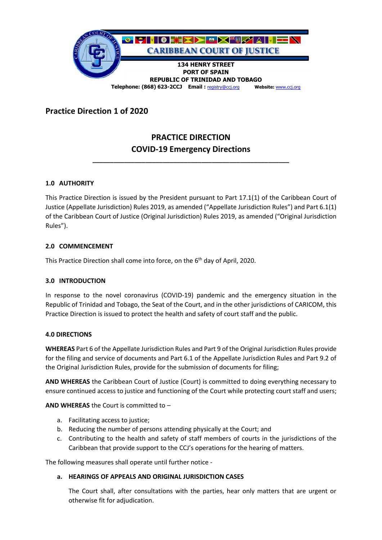

## **Practice Direction 1 of 2020**

# **PRACTICE DIRECTION COVID-19 Emergency Directions**

**\_\_\_\_\_\_\_\_\_\_\_\_\_\_\_\_\_\_\_\_\_\_\_\_\_\_\_\_\_\_\_\_\_\_\_\_\_\_\_\_\_\_\_\_\_\_\_\_\_\_\_\_\_\_\_\_**

## **1.0 AUTHORITY**

This Practice Direction is issued by the President pursuant to Part 17.1(1) of the Caribbean Court of Justice (Appellate Jurisdiction) Rules 2019, as amended ("Appellate Jurisdiction Rules") and Part 6.1(1) of the Caribbean Court of Justice (Original Jurisdiction) Rules 2019, as amended ("Original Jurisdiction Rules").

## **2.0 COMMENCEMENT**

This Practice Direction shall come into force, on the 6<sup>th</sup> day of April, 2020.

## **3.0 INTRODUCTION**

In response to the novel coronavirus (COVID-19) pandemic and the emergency situation in the Republic of Trinidad and Tobago, the Seat of the Court, and in the other jurisdictions of CARICOM, this Practice Direction is issued to protect the health and safety of court staff and the public.

#### **4.0 DIRECTIONS**

**WHEREAS** Part 6 of the Appellate Jurisdiction Rules and Part 9 of the Original Jurisdiction Rules provide for the filing and service of documents and Part 6.1 of the Appellate Jurisdiction Rules and Part 9.2 of the Original Jurisdiction Rules, provide for the submission of documents for filing;

**AND WHEREAS** the Caribbean Court of Justice (Court) is committed to doing everything necessary to ensure continued access to justice and functioning of the Court while protecting court staff and users;

#### **AND WHEREAS** the Court is committed to –

- a. Facilitating access to justice;
- b. Reducing the number of persons attending physically at the Court; and
- c. Contributing to the health and safety of staff members of courts in the jurisdictions of the Caribbean that provide support to the CCJ's operations for the hearing of matters.

The following measures shall operate until further notice -

#### **a. HEARINGS OF APPEALS AND ORIGINAL JURISDICTION CASES**

The Court shall, after consultations with the parties, hear only matters that are urgent or otherwise fit for adjudication.